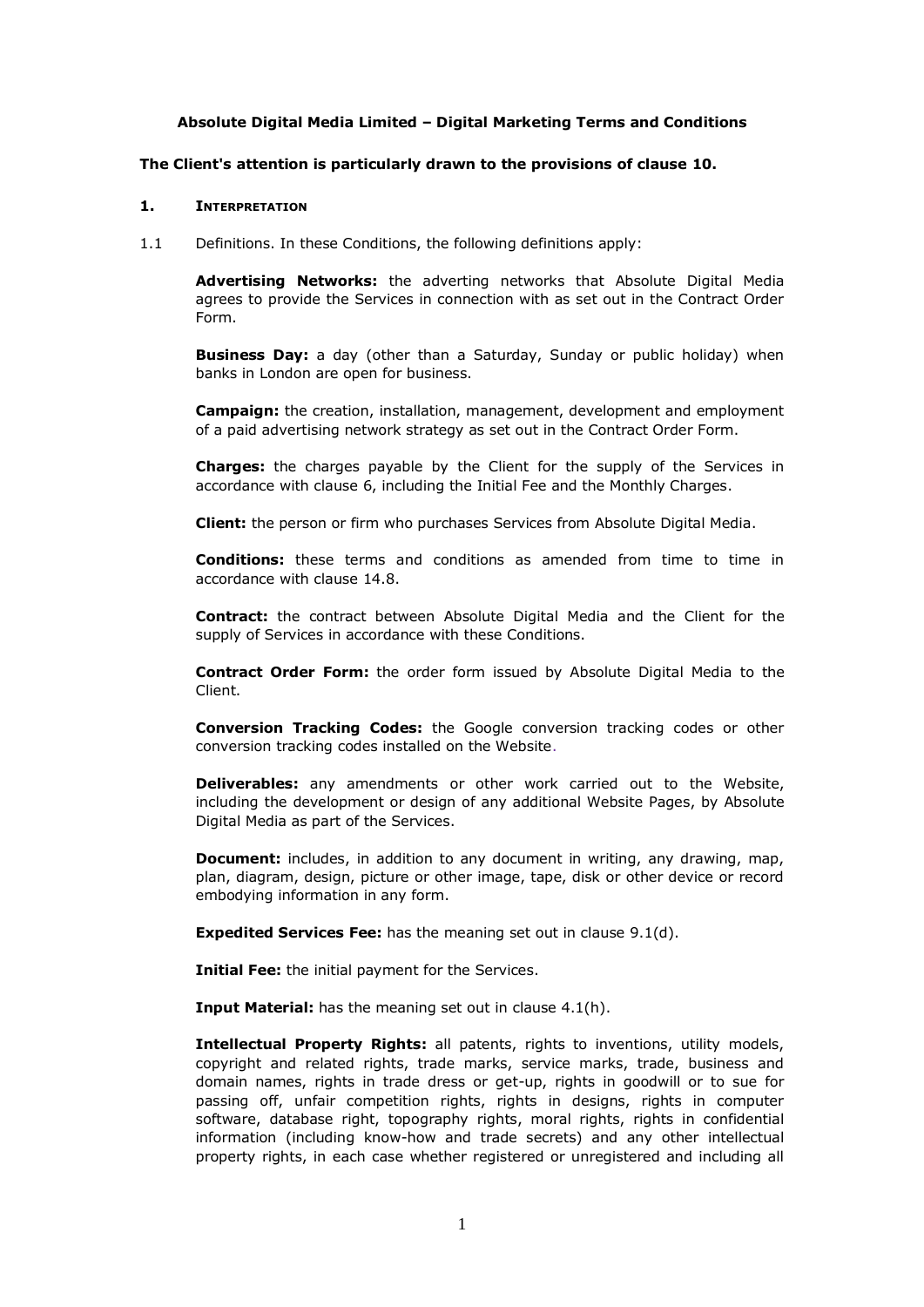### **Absolute Digital Media Limited – Digital Marketing Terms and Conditions**

#### **The Client's attention is particularly drawn to the provisions of clause 10.**

#### **1. INTERPRETATION**

1.1 Definitions. In these Conditions, the following definitions apply:

**Advertising Networks:** the adverting networks that Absolute Digital Media agrees to provide the Services in connection with as set out in the Contract Order Form.

**Business Day:** a day (other than a Saturday, Sunday or public holiday) when banks in London are open for business.

**Campaign:** the creation, installation, management, development and employment of a paid advertising network strategy as set out in the Contract Order Form.

**Charges:** the charges payable by the Client for the supply of the Services in accordance with clause 6, including the Initial Fee and the Monthly Charges.

**Client:** the person or firm who purchases Services from Absolute Digital Media.

**Conditions:** these terms and conditions as amended from time to time in accordance with clause [14.8.](#page-13-0)

**Contract:** the contract between Absolute Digital Media and the Client for the supply of Services in accordance with these Conditions.

**Contract Order Form:** the order form issued by Absolute Digital Media to the Client.

**Conversion Tracking Codes:** the Google conversion tracking codes or other conversion tracking codes installed on the Website.

**Deliverables:** any amendments or other work carried out to the Website, including the development or design of any additional Website Pages, by Absolute Digital Media as part of the Services.

**Document:** includes, in addition to any document in writing, any drawing, map, plan, diagram, design, picture or other image, tape, disk or other device or record embodying information in any form.

**Expedited Services Fee:** has the meaning set out in clause 9.1(d).

**Initial Fee:** the initial payment for the Services.

**Input Material:** has the meaning set out in clause 4.1(h).

**Intellectual Property Rights:** all patents, rights to inventions, utility models, copyright and related rights, trade marks, service marks, trade, business and domain names, rights in trade dress or get-up, rights in goodwill or to sue for passing off, unfair competition rights, rights in designs, rights in computer software, database right, topography rights, moral rights, rights in confidential information (including know-how and trade secrets) and any other intellectual property rights, in each case whether registered or unregistered and including all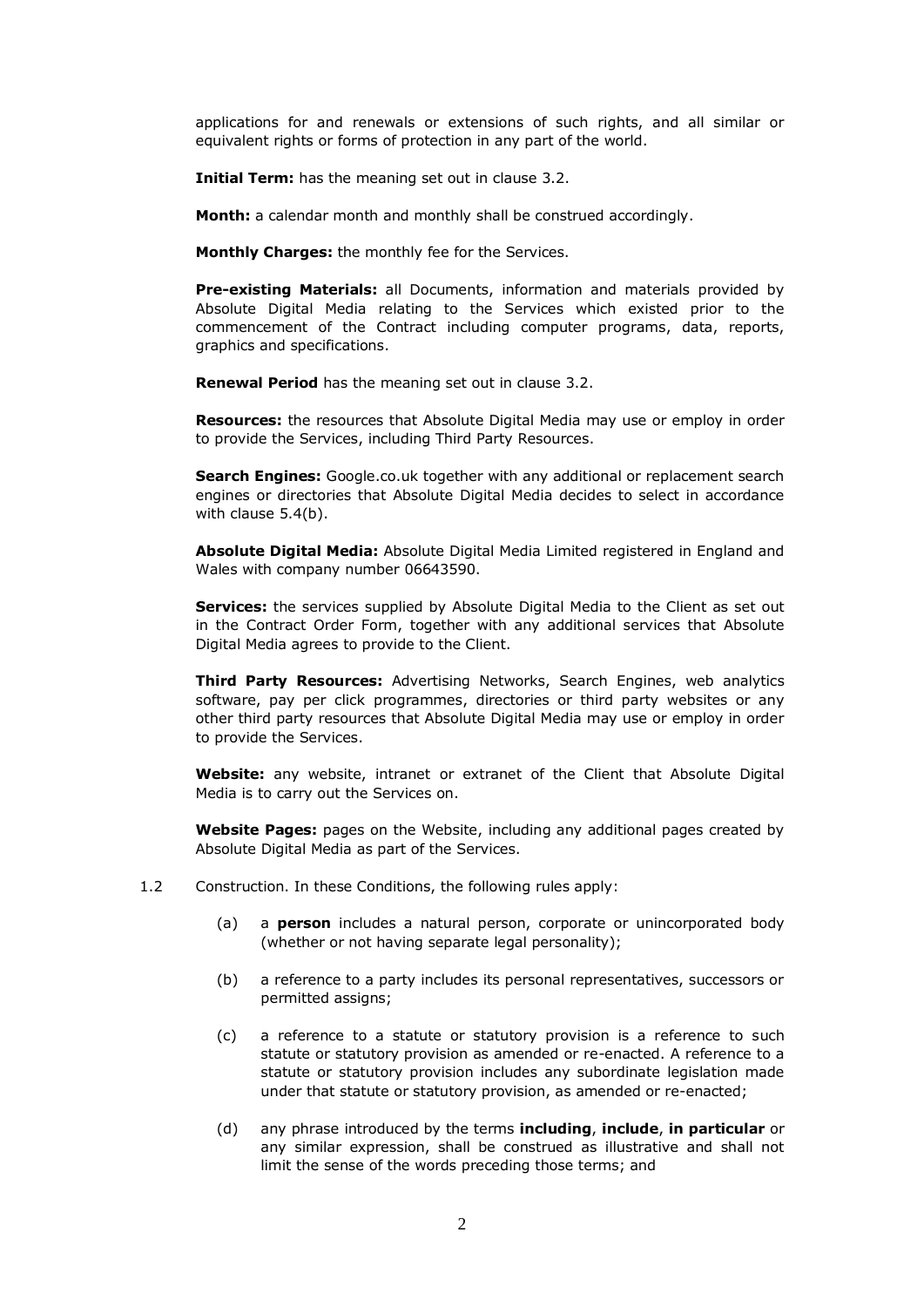applications for and renewals or extensions of such rights, and all similar or equivalent rights or forms of protection in any part of the world.

**Initial Term:** has the meaning set out in clause 3.2.

**Month:** a calendar month and monthly shall be construed accordingly.

**Monthly Charges:** the monthly fee for the Services.

**Pre-existing Materials:** all Documents, information and materials provided by Absolute Digital Media relating to the Services which existed prior to the commencement of the Contract including computer programs, data, reports, graphics and specifications.

**Renewal Period** has the meaning set out in clause 3.2.

**Resources:** the resources that Absolute Digital Media may use or employ in order to provide the Services, including Third Party Resources.

**Search Engines:** Google.co.uk together with any additional or replacement search engines or directories that Absolute Digital Media decides to select in accordance with clause 5.4(b).

**Absolute Digital Media:** Absolute Digital Media Limited registered in England and Wales with company number 06643590.

**Services:** the services supplied by Absolute Digital Media to the Client as set out in the Contract Order Form, together with any additional services that Absolute Digital Media agrees to provide to the Client.

**Third Party Resources:** Advertising Networks, Search Engines, web analytics software, pay per click programmes, directories or third party websites or any other third party resources that Absolute Digital Media may use or employ in order to provide the Services.

**Website:** any website, intranet or extranet of the Client that Absolute Digital Media is to carry out the Services on.

**Website Pages:** pages on the Website, including any additional pages created by Absolute Digital Media as part of the Services.

- 1.2 Construction. In these Conditions, the following rules apply:
	- (a) a **person** includes a natural person, corporate or unincorporated body (whether or not having separate legal personality);
	- (b) a reference to a party includes its personal representatives, successors or permitted assigns;
	- (c) a reference to a statute or statutory provision is a reference to such statute or statutory provision as amended or re-enacted. A reference to a statute or statutory provision includes any subordinate legislation made under that statute or statutory provision, as amended or re-enacted;
	- (d) any phrase introduced by the terms **including**, **include**, **in particular** or any similar expression, shall be construed as illustrative and shall not limit the sense of the words preceding those terms; and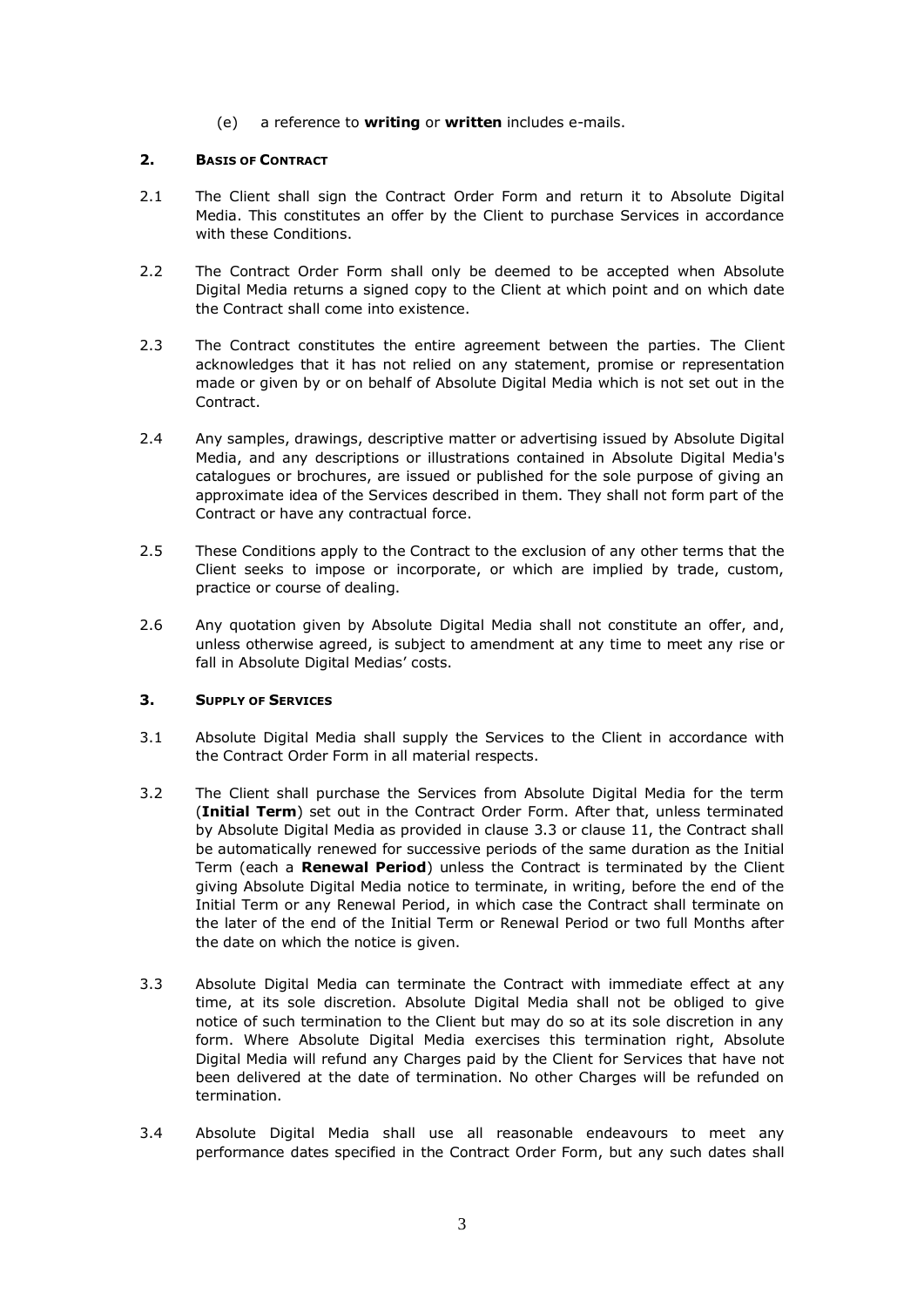(e) a reference to **writing** or **written** includes e-mails.

### **2. BASIS OF CONTRACT**

- 2.1 The Client shall sign the Contract Order Form and return it to Absolute Digital Media. This constitutes an offer by the Client to purchase Services in accordance with these Conditions.
- 2.2 The Contract Order Form shall only be deemed to be accepted when Absolute Digital Media returns a signed copy to the Client at which point and on which date the Contract shall come into existence.
- 2.3 The Contract constitutes the entire agreement between the parties. The Client acknowledges that it has not relied on any statement, promise or representation made or given by or on behalf of Absolute Digital Media which is not set out in the Contract.
- 2.4 Any samples, drawings, descriptive matter or advertising issued by Absolute Digital Media, and any descriptions or illustrations contained in Absolute Digital Media's catalogues or brochures, are issued or published for the sole purpose of giving an approximate idea of the Services described in them. They shall not form part of the Contract or have any contractual force.
- 2.5 These Conditions apply to the Contract to the exclusion of any other terms that the Client seeks to impose or incorporate, or which are implied by trade, custom, practice or course of dealing.
- 2.6 Any quotation given by Absolute Digital Media shall not constitute an offer, and, unless otherwise agreed, is subject to amendment at any time to meet any rise or fall in Absolute Digital Medias' costs.

## **3. SUPPLY OF SERVICES**

- 3.1 Absolute Digital Media shall supply the Services to the Client in accordance with the Contract Order Form in all material respects.
- 3.2 The Client shall purchase the Services from Absolute Digital Media for the term (**Initial Term**) set out in the Contract Order Form. After that, unless terminated by Absolute Digital Media as provided in clause 3.3 or clause 11, the Contract shall be automatically renewed for successive periods of the same duration as the Initial Term (each a **Renewal Period**) unless the Contract is terminated by the Client giving Absolute Digital Media notice to terminate, in writing, before the end of the Initial Term or any Renewal Period, in which case the Contract shall terminate on the later of the end of the Initial Term or Renewal Period or two full Months after the date on which the notice is given.
- 3.3 Absolute Digital Media can terminate the Contract with immediate effect at any time, at its sole discretion. Absolute Digital Media shall not be obliged to give notice of such termination to the Client but may do so at its sole discretion in any form. Where Absolute Digital Media exercises this termination right, Absolute Digital Media will refund any Charges paid by the Client for Services that have not been delivered at the date of termination. No other Charges will be refunded on termination.
- 3.4 Absolute Digital Media shall use all reasonable endeavours to meet any performance dates specified in the Contract Order Form, but any such dates shall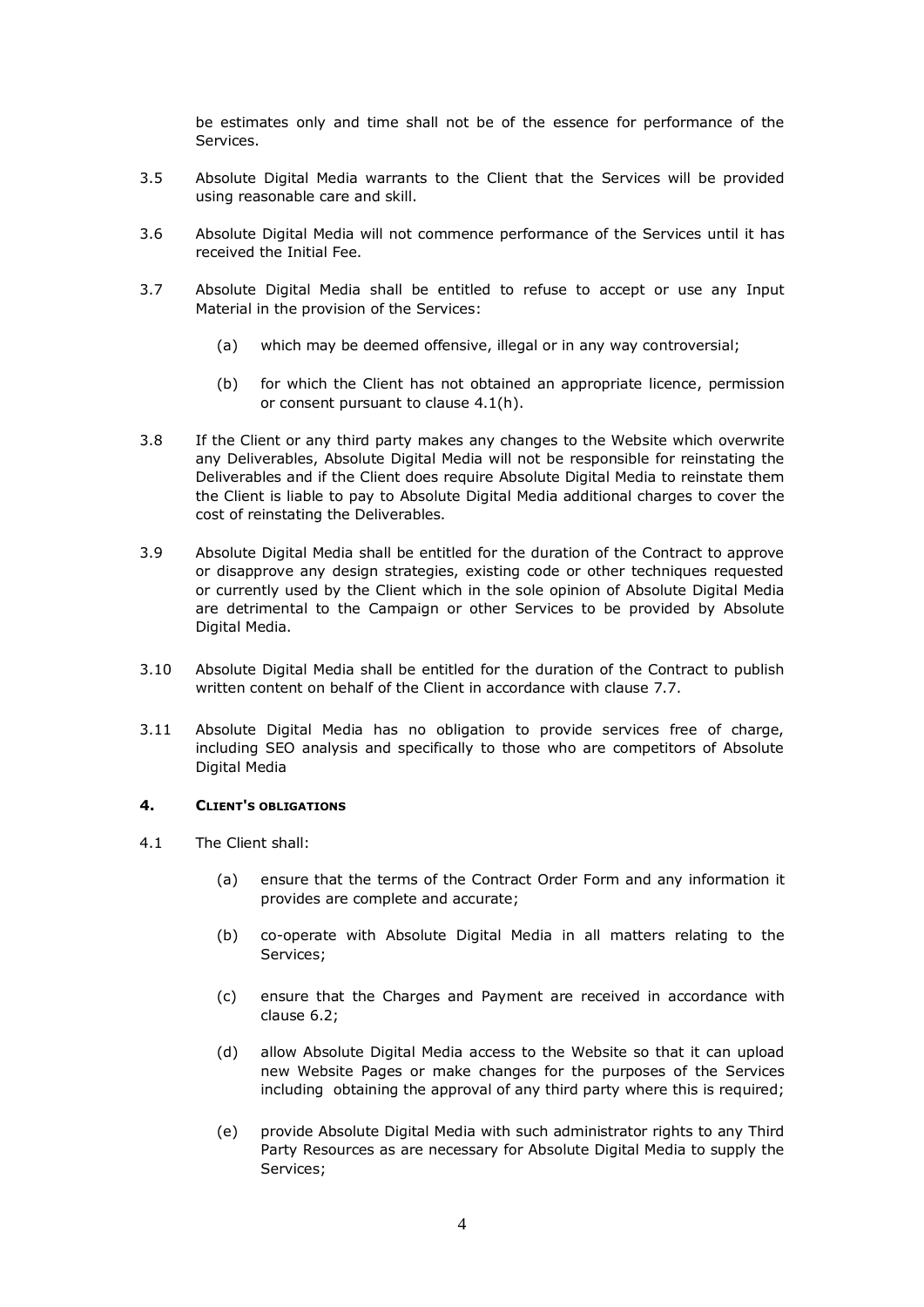be estimates only and time shall not be of the essence for performance of the Services.

- 3.5 Absolute Digital Media warrants to the Client that the Services will be provided using reasonable care and skill.
- 3.6 Absolute Digital Media will not commence performance of the Services until it has received the Initial Fee.
- 3.7 Absolute Digital Media shall be entitled to refuse to accept or use any Input Material in the provision of the Services:
	- (a) which may be deemed offensive, illegal or in any way controversial;
	- (b) for which the Client has not obtained an appropriate licence, permission or consent pursuant to clause 4.1(h).
- 3.8 If the Client or any third party makes any changes to the Website which overwrite any Deliverables, Absolute Digital Media will not be responsible for reinstating the Deliverables and if the Client does require Absolute Digital Media to reinstate them the Client is liable to pay to Absolute Digital Media additional charges to cover the cost of reinstating the Deliverables.
- 3.9 Absolute Digital Media shall be entitled for the duration of the Contract to approve or disapprove any design strategies, existing code or other techniques requested or currently used by the Client which in the sole opinion of Absolute Digital Media are detrimental to the Campaign or other Services to be provided by Absolute Digital Media.
- 3.10 Absolute Digital Media shall be entitled for the duration of the Contract to publish written content on behalf of the Client in accordance with clause 7.7.
- 3.11 Absolute Digital Media has no obligation to provide services free of charge, including SEO analysis and specifically to those who are competitors of Absolute Digital Media

### **4. CLIENT'S OBLIGATIONS**

- 4.1 The Client shall:
	- (a) ensure that the terms of the Contract Order Form and any information it provides are complete and accurate;
	- (b) co-operate with Absolute Digital Media in all matters relating to the Services;
	- (c) ensure that the Charges and Payment are received in accordance with clause 6.2;
	- (d) allow Absolute Digital Media access to the Website so that it can upload new Website Pages or make changes for the purposes of the Services including obtaining the approval of any third party where this is required;
	- (e) provide Absolute Digital Media with such administrator rights to any Third Party Resources as are necessary for Absolute Digital Media to supply the Services;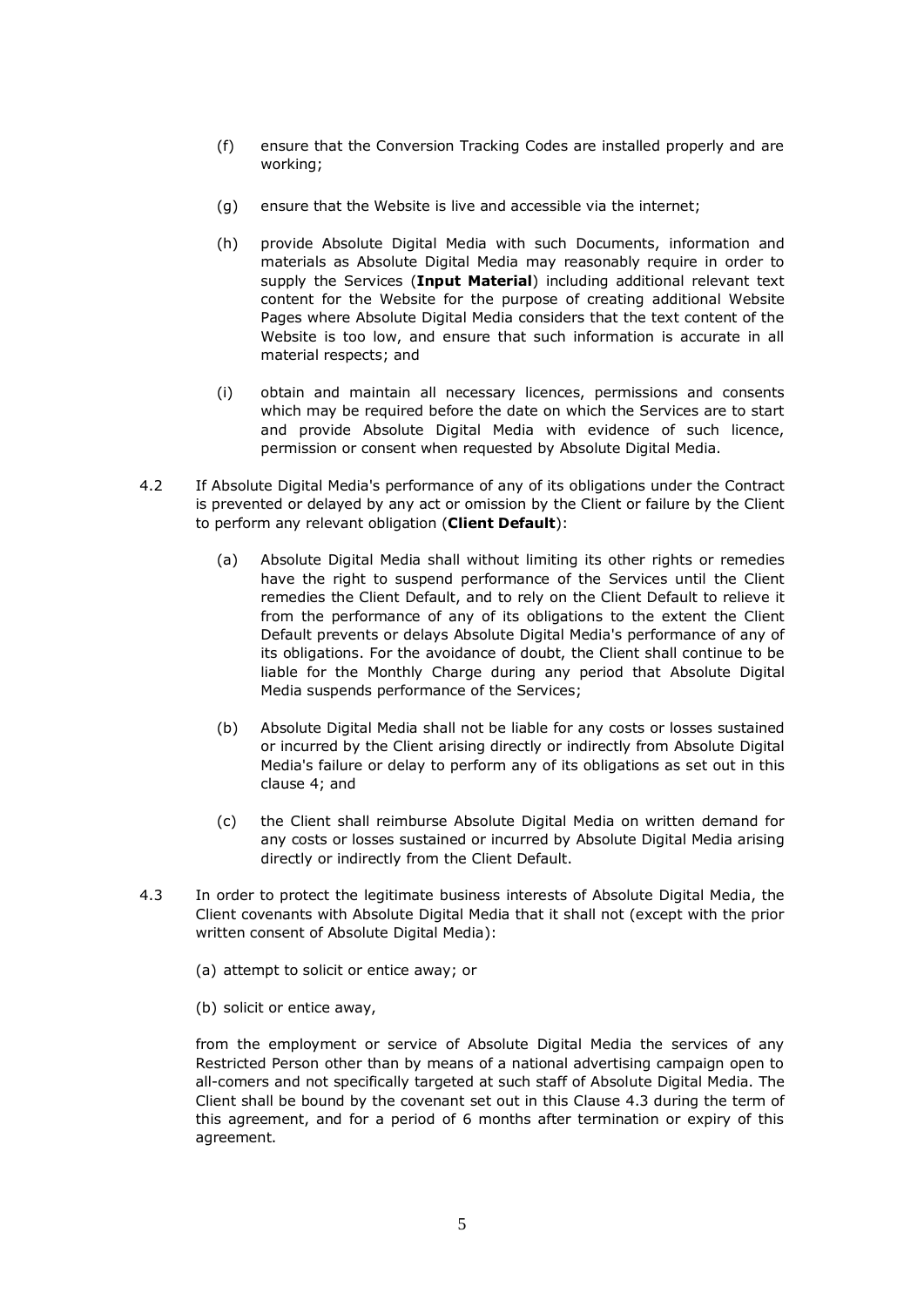- (f) ensure that the Conversion Tracking Codes are installed properly and are working;
- (g) ensure that the Website is live and accessible via the internet;
- (h) provide Absolute Digital Media with such Documents, information and materials as Absolute Digital Media may reasonably require in order to supply the Services (**Input Material**) including additional relevant text content for the Website for the purpose of creating additional Website Pages where Absolute Digital Media considers that the text content of the Website is too low, and ensure that such information is accurate in all material respects; and
- (i) obtain and maintain all necessary licences, permissions and consents which may be required before the date on which the Services are to start and provide Absolute Digital Media with evidence of such licence, permission or consent when requested by Absolute Digital Media.
- 4.2 If Absolute Digital Media's performance of any of its obligations under the Contract is prevented or delayed by any act or omission by the Client or failure by the Client to perform any relevant obligation (**Client Default**):
	- (a) Absolute Digital Media shall without limiting its other rights or remedies have the right to suspend performance of the Services until the Client remedies the Client Default, and to rely on the Client Default to relieve it from the performance of any of its obligations to the extent the Client Default prevents or delays Absolute Digital Media's performance of any of its obligations. For the avoidance of doubt, the Client shall continue to be liable for the Monthly Charge during any period that Absolute Digital Media suspends performance of the Services;
	- (b) Absolute Digital Media shall not be liable for any costs or losses sustained or incurred by the Client arising directly or indirectly from Absolute Digital Media's failure or delay to perform any of its obligations as set out in this clause 4; and
	- (c) the Client shall reimburse Absolute Digital Media on written demand for any costs or losses sustained or incurred by Absolute Digital Media arising directly or indirectly from the Client Default.
- 4.3 In order to protect the legitimate business interests of Absolute Digital Media, the Client covenants with Absolute Digital Media that it shall not (except with the prior written consent of Absolute Digital Media):
	- (a) attempt to solicit or entice away; or
	- (b) solicit or entice away,

from the employment or service of Absolute Digital Media the services of any Restricted Person other than by means of a national advertising campaign open to all-comers and not specifically targeted at such staff of Absolute Digital Media. The Client shall be bound by the covenant set out in this Clause 4.3 during the term of this agreement, and for a period of 6 months after termination or expiry of this agreement.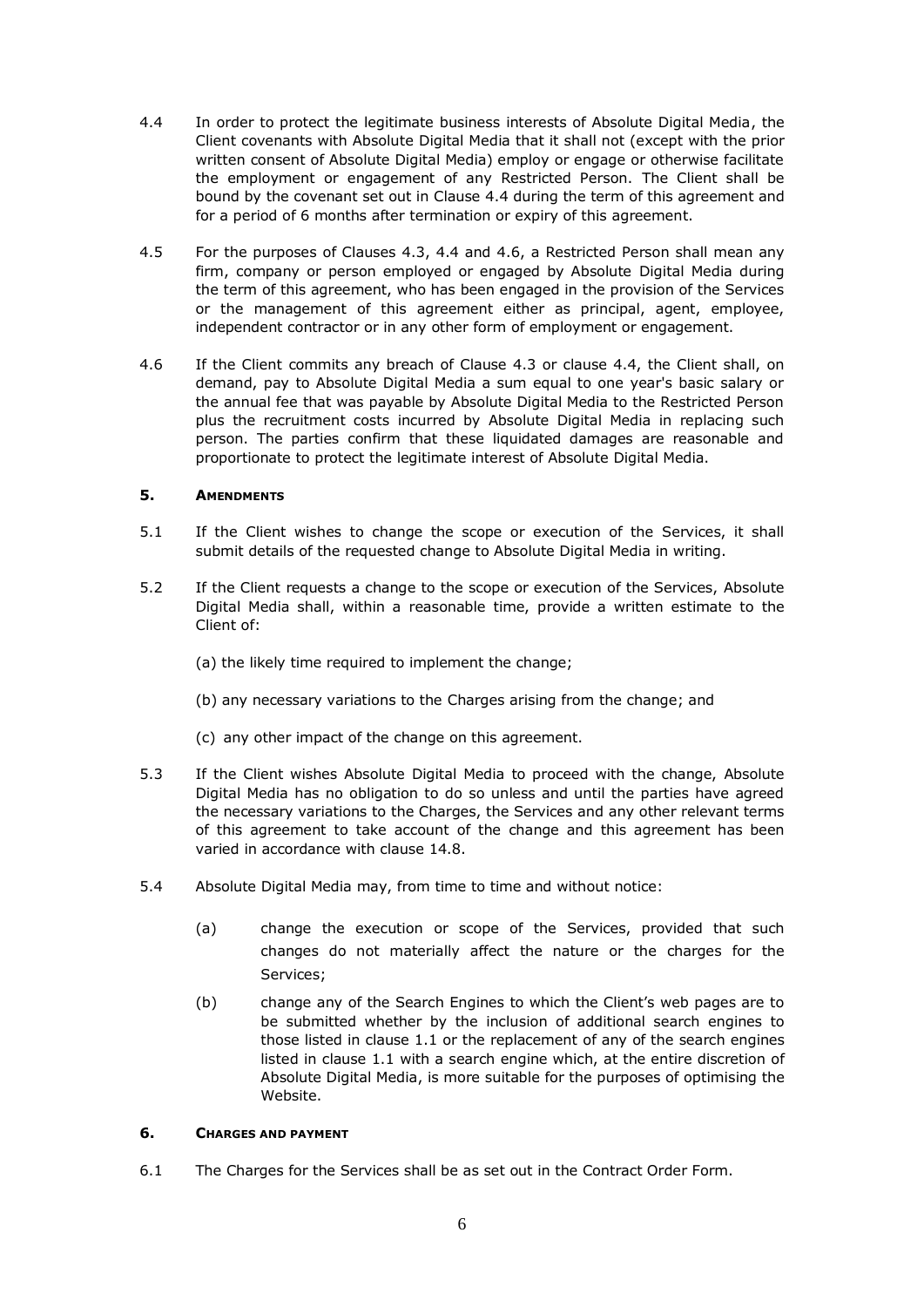- 4.4 In order to protect the legitimate business interests of Absolute Digital Media, the Client covenants with Absolute Digital Media that it shall not (except with the prior written consent of Absolute Digital Media) employ or engage or otherwise facilitate the employment or engagement of any Restricted Person. The Client shall be bound by the covenant set out in Clause 4.4 during the term of this agreement and for a period of 6 months after termination or expiry of this agreement.
- 4.5 For the purposes of Clauses 4.3, 4.4 and 4.6, a Restricted Person shall mean any firm, company or person employed or engaged by Absolute Digital Media during the term of this agreement, who has been engaged in the provision of the Services or the management of this agreement either as principal, agent, employee, independent contractor or in any other form of employment or engagement.
- 4.6 If the Client commits any breach of Clause 4.3 or clause 4.4, the Client shall, on demand, pay to Absolute Digital Media a sum equal to one year's basic salary or the annual fee that was payable by Absolute Digital Media to the Restricted Person plus the recruitment costs incurred by Absolute Digital Media in replacing such person. The parties confirm that these liquidated damages are reasonable and proportionate to protect the legitimate interest of Absolute Digital Media.

### **5. AMENDMENTS**

- 5.1 If the Client wishes to change the scope or execution of the Services, it shall submit details of the requested change to Absolute Digital Media in writing.
- 5.2 If the Client requests a change to the scope or execution of the Services, Absolute Digital Media shall, within a reasonable time, provide a written estimate to the Client of:
	- (a) the likely time required to implement the change;
	- (b) any necessary variations to the Charges arising from the change; and
	- (c) any other impact of the change on this agreement.
- 5.3 If the Client wishes Absolute Digital Media to proceed with the change, Absolute Digital Media has no obligation to do so unless and until the parties have agreed the necessary variations to the Charges, the Services and any other relevant terms of this agreement to take account of the change and this agreement has been varied in accordance with [clause 14.8.](http://commercial.practicallaw.com/6-203-1252?q=&qp=&qo=&qe=#a100597#a100597)
- 5.4 Absolute Digital Media may, from time to time and without notice:
	- (a) change the execution or scope of the Services, provided that such changes do not materially affect the nature or the charges for the Services;
	- (b) change any of the Search Engines to which the Client's web pages are to be submitted whether by the inclusion of additional search engines to those listed in clause 1.1 or the replacement of any of the search engines listed in clause 1.1 with a search engine which, at the entire discretion of Absolute Digital Media, is more suitable for the purposes of optimising the Website.

## **6. CHARGES AND PAYMENT**

6.1 The Charges for the Services shall be as set out in the Contract Order Form.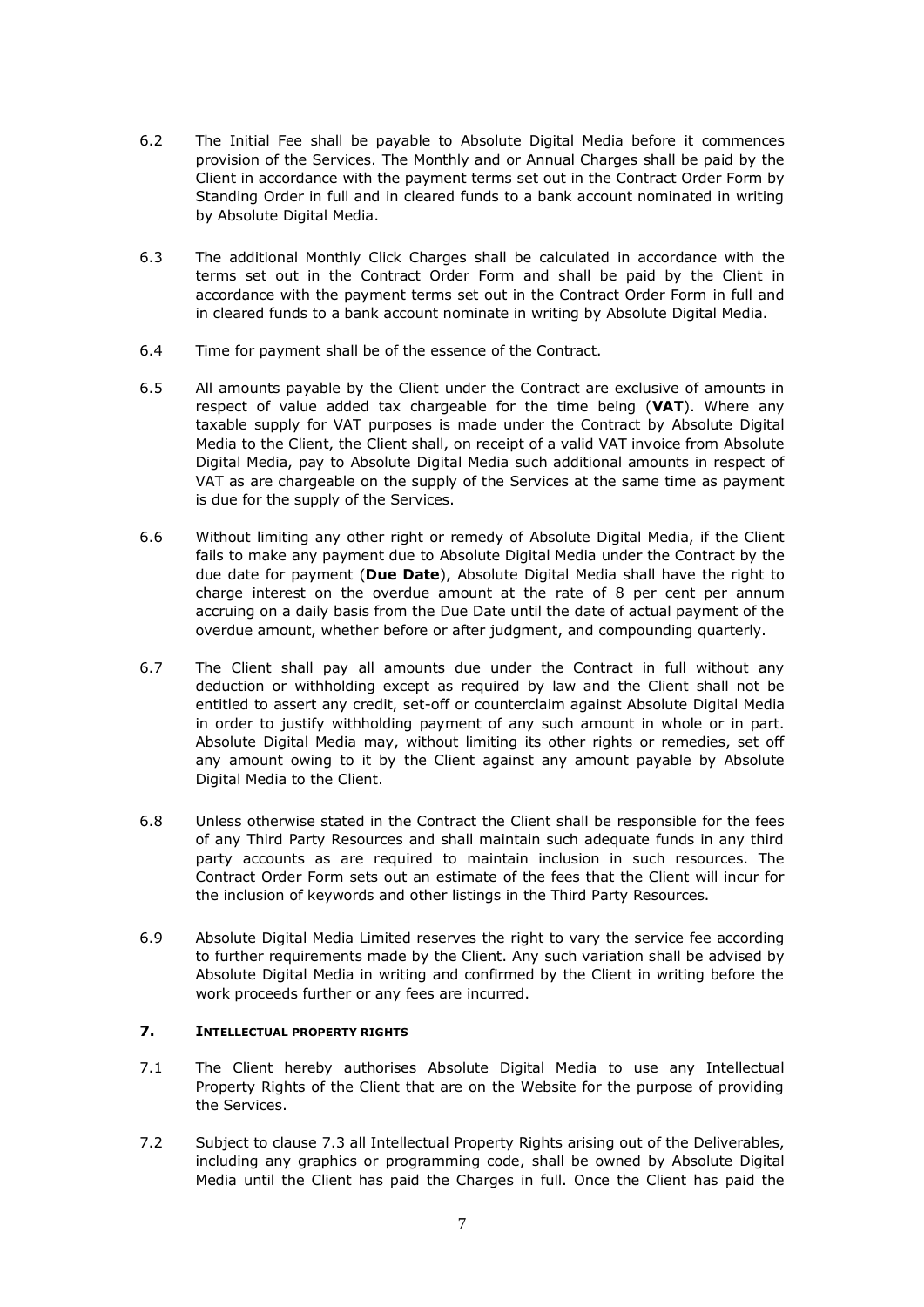- 6.2 The Initial Fee shall be payable to Absolute Digital Media before it commences provision of the Services. The Monthly and or Annual Charges shall be paid by the Client in accordance with the payment terms set out in the Contract Order Form by Standing Order in full and in cleared funds to a bank account nominated in writing by Absolute Digital Media.
- 6.3 The additional Monthly Click Charges shall be calculated in accordance with the terms set out in the Contract Order Form and shall be paid by the Client in accordance with the payment terms set out in the Contract Order Form in full and in cleared funds to a bank account nominate in writing by Absolute Digital Media.
- 6.4 Time for payment shall be of the essence of the Contract.
- 6.5 All amounts payable by the Client under the Contract are exclusive of amounts in respect of value added tax chargeable for the time being (**VAT**). Where any taxable supply for VAT purposes is made under the Contract by Absolute Digital Media to the Client, the Client shall, on receipt of a valid VAT invoice from Absolute Digital Media, pay to Absolute Digital Media such additional amounts in respect of VAT as are chargeable on the supply of the Services at the same time as payment is due for the supply of the Services.
- 6.6 Without limiting any other right or remedy of Absolute Digital Media, if the Client fails to make any payment due to Absolute Digital Media under the Contract by the due date for payment (**Due Date**), Absolute Digital Media shall have the right to charge interest on the overdue amount at the rate of 8 per cent per annum accruing on a daily basis from the Due Date until the date of actual payment of the overdue amount, whether before or after judgment, and compounding quarterly.
- 6.7 The Client shall pay all amounts due under the Contract in full without any deduction or withholding except as required by law and the Client shall not be entitled to assert any credit, set-off or counterclaim against Absolute Digital Media in order to justify withholding payment of any such amount in whole or in part. Absolute Digital Media may, without limiting its other rights or remedies, set off any amount owing to it by the Client against any amount payable by Absolute Digital Media to the Client.
- 6.8 Unless otherwise stated in the Contract the Client shall be responsible for the fees of any Third Party Resources and shall maintain such adequate funds in any third party accounts as are required to maintain inclusion in such resources. The Contract Order Form sets out an estimate of the fees that the Client will incur for the inclusion of keywords and other listings in the Third Party Resources.
- 6.9 Absolute Digital Media Limited reserves the right to vary the service fee according to further requirements made by the Client. Any such variation shall be advised by Absolute Digital Media in writing and confirmed by the Client in writing before the work proceeds further or any fees are incurred.

# **7. INTELLECTUAL PROPERTY RIGHTS**

- 7.1 The Client hereby authorises Absolute Digital Media to use any Intellectual Property Rights of the Client that are on the Website for the purpose of providing the Services.
- 7.2 Subject to clause 7.3 all Intellectual Property Rights arising out of the Deliverables, including any graphics or programming code, shall be owned by Absolute Digital Media until the Client has paid the Charges in full. Once the Client has paid the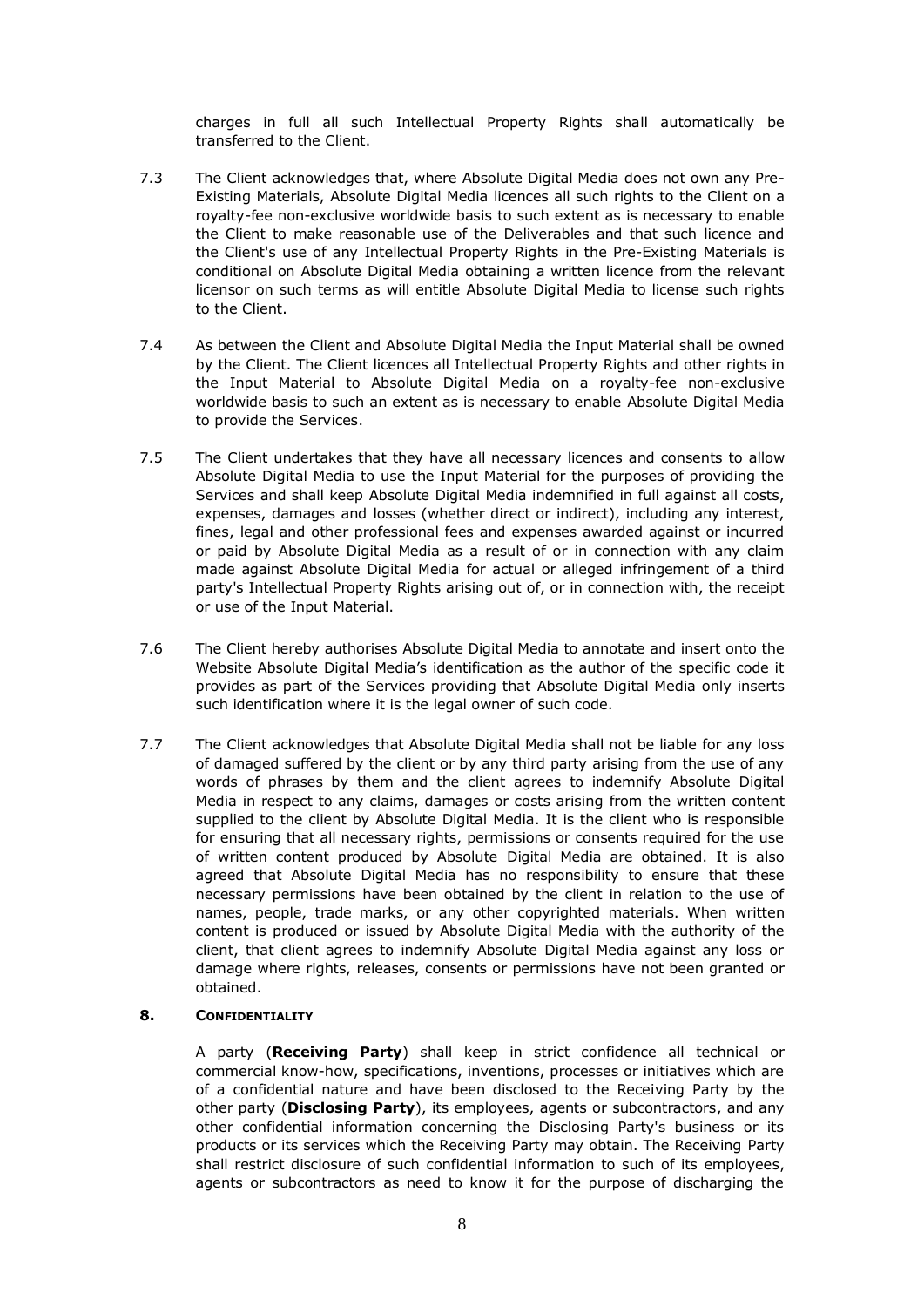charges in full all such Intellectual Property Rights shall automatically be transferred to the Client.

- 7.3 The Client acknowledges that, where Absolute Digital Media does not own any Pre-Existing Materials, Absolute Digital Media licences all such rights to the Client on a royalty-fee non-exclusive worldwide basis to such extent as is necessary to enable the Client to make reasonable use of the Deliverables and that such licence and the Client's use of any Intellectual Property Rights in the Pre-Existing Materials is conditional on Absolute Digital Media obtaining a written licence from the relevant licensor on such terms as will entitle Absolute Digital Media to license such rights to the Client.
- 7.4 As between the Client and Absolute Digital Media the Input Material shall be owned by the Client. The Client licences all Intellectual Property Rights and other rights in the Input Material to Absolute Digital Media on a royalty-fee non-exclusive worldwide basis to such an extent as is necessary to enable Absolute Digital Media to provide the Services.
- 7.5 The Client undertakes that they have all necessary licences and consents to allow Absolute Digital Media to use the Input Material for the purposes of providing the Services and shall keep Absolute Digital Media indemnified in full against all costs, expenses, damages and losses (whether direct or indirect), including any interest, fines, legal and other professional fees and expenses awarded against or incurred or paid by Absolute Digital Media as a result of or in connection with any claim made against Absolute Digital Media for actual or alleged infringement of a third party's Intellectual Property Rights arising out of, or in connection with, the receipt or use of the Input Material.
- 7.6 The Client hereby authorises Absolute Digital Media to annotate and insert onto the Website Absolute Digital Media's identification as the author of the specific code it provides as part of the Services providing that Absolute Digital Media only inserts such identification where it is the legal owner of such code.
- 7.7 The Client acknowledges that Absolute Digital Media shall not be liable for any loss of damaged suffered by the client or by any third party arising from the use of any words of phrases by them and the client agrees to indemnify Absolute Digital Media in respect to any claims, damages or costs arising from the written content supplied to the client by Absolute Digital Media. It is the client who is responsible for ensuring that all necessary rights, permissions or consents required for the use of written content produced by Absolute Digital Media are obtained. It is also agreed that Absolute Digital Media has no responsibility to ensure that these necessary permissions have been obtained by the client in relation to the use of names, people, trade marks, or any other copyrighted materials. When written content is produced or issued by Absolute Digital Media with the authority of the client, that client agrees to indemnify Absolute Digital Media against any loss or damage where rights, releases, consents or permissions have not been granted or obtained.

### <span id="page-7-0"></span>**8. CONFIDENTIALITY**

A party (**Receiving Party**) shall keep in strict confidence all technical or commercial know-how, specifications, inventions, processes or initiatives which are of a confidential nature and have been disclosed to the Receiving Party by the other party (**Disclosing Party**), its employees, agents or subcontractors, and any other confidential information concerning the Disclosing Party's business or its products or its services which the Receiving Party may obtain. The Receiving Party shall restrict disclosure of such confidential information to such of its employees, agents or subcontractors as need to know it for the purpose of discharging the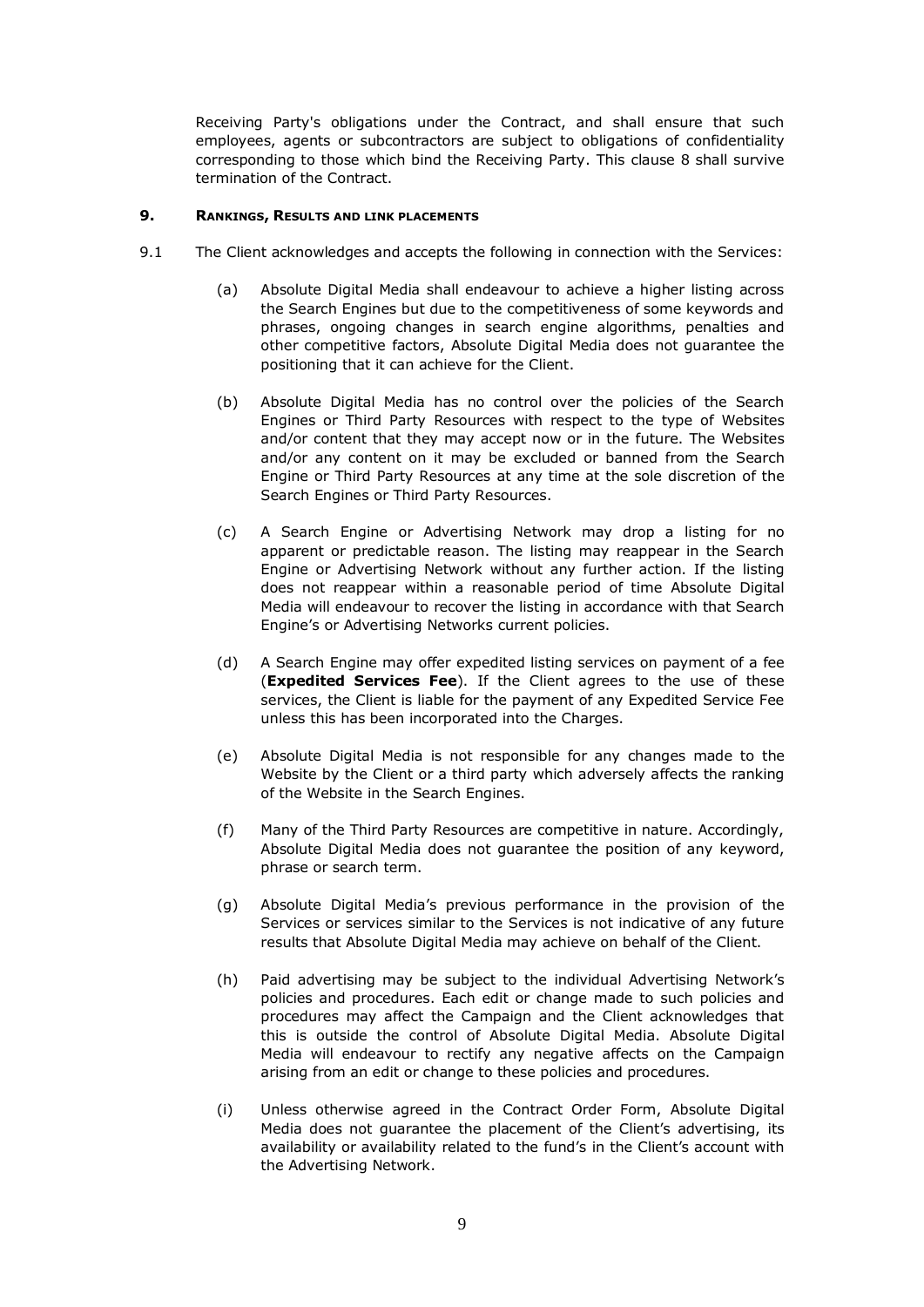Receiving Party's obligations under the Contract, and shall ensure that such employees, agents or subcontractors are subject to obligations of confidentiality corresponding to those which bind the Receiving Party. This clause [8](#page-7-0) shall survive termination of the Contract.

### **9. RANKINGS, RESULTS AND LINK PLACEMENTS**

- 9.1 The Client acknowledges and accepts the following in connection with the Services:
	- (a) Absolute Digital Media shall endeavour to achieve a higher listing across the Search Engines but due to the competitiveness of some keywords and phrases, ongoing changes in search engine algorithms, penalties and other competitive factors, Absolute Digital Media does not guarantee the positioning that it can achieve for the Client.
	- (b) Absolute Digital Media has no control over the policies of the Search Engines or Third Party Resources with respect to the type of Websites and/or content that they may accept now or in the future. The Websites and/or any content on it may be excluded or banned from the Search Engine or Third Party Resources at any time at the sole discretion of the Search Engines or Third Party Resources.
	- (c) A Search Engine or Advertising Network may drop a listing for no apparent or predictable reason. The listing may reappear in the Search Engine or Advertising Network without any further action. If the listing does not reappear within a reasonable period of time Absolute Digital Media will endeavour to recover the listing in accordance with that Search Engine's or Advertising Networks current policies.
	- (d) A Search Engine may offer expedited listing services on payment of a fee (**Expedited Services Fee**). If the Client agrees to the use of these services, the Client is liable for the payment of any Expedited Service Fee unless this has been incorporated into the Charges.
	- (e) Absolute Digital Media is not responsible for any changes made to the Website by the Client or a third party which adversely affects the ranking of the Website in the Search Engines.
	- (f) Many of the Third Party Resources are competitive in nature. Accordingly, Absolute Digital Media does not guarantee the position of any keyword, phrase or search term.
	- (g) Absolute Digital Media's previous performance in the provision of the Services or services similar to the Services is not indicative of any future results that Absolute Digital Media may achieve on behalf of the Client.
	- (h) Paid advertising may be subject to the individual Advertising Network's policies and procedures. Each edit or change made to such policies and procedures may affect the Campaign and the Client acknowledges that this is outside the control of Absolute Digital Media. Absolute Digital Media will endeavour to rectify any negative affects on the Campaign arising from an edit or change to these policies and procedures.
	- (i) Unless otherwise agreed in the Contract Order Form, Absolute Digital Media does not guarantee the placement of the Client's advertising, its availability or availability related to the fund's in the Client's account with the Advertising Network.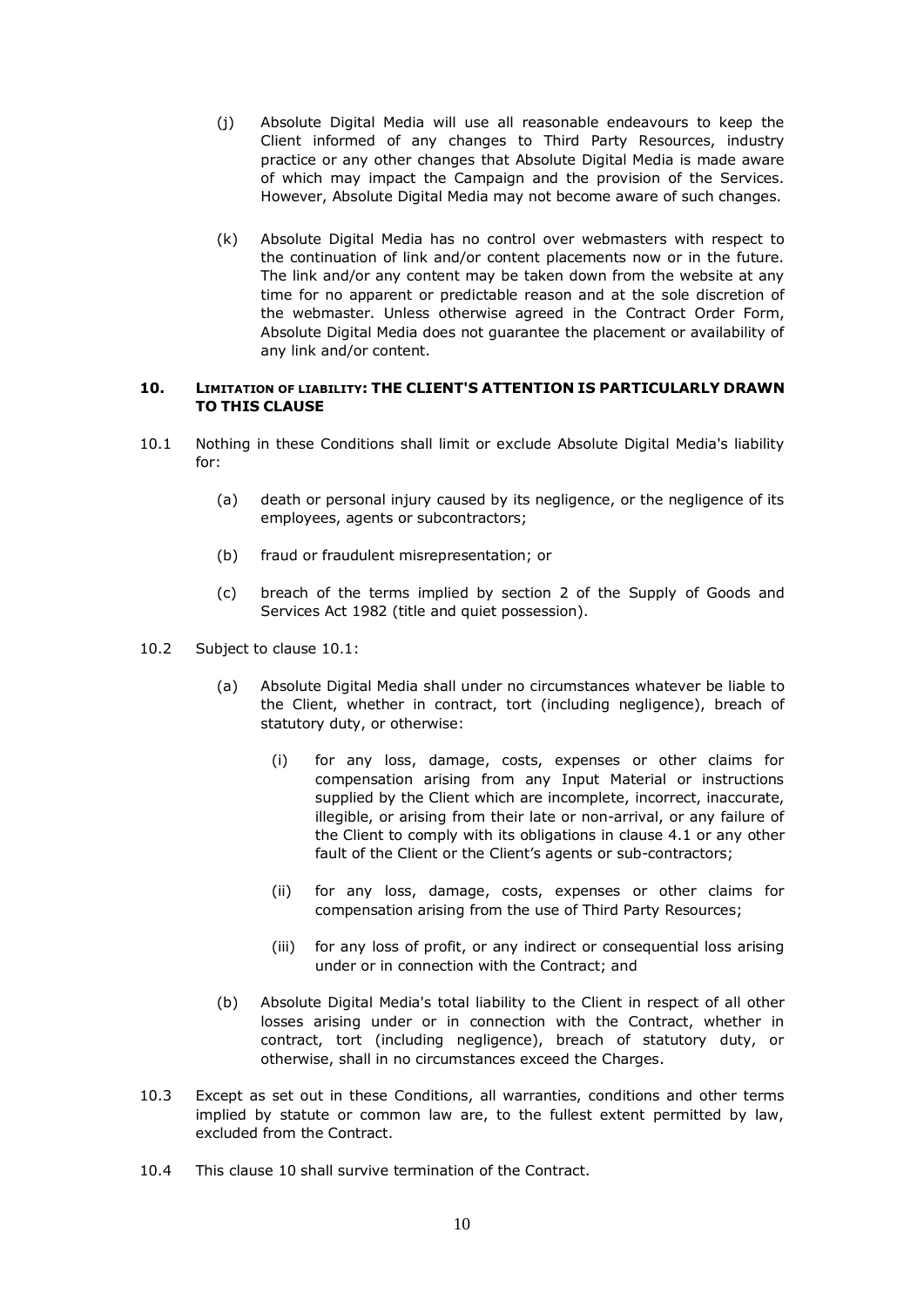- (j) Absolute Digital Media will use all reasonable endeavours to keep the Client informed of any changes to Third Party Resources, industry practice or any other changes that Absolute Digital Media is made aware of which may impact the Campaign and the provision of the Services. However, Absolute Digital Media may not become aware of such changes.
- (k) Absolute Digital Media has no control over webmasters with respect to the continuation of link and/or content placements now or in the future. The link and/or any content may be taken down from the website at any time for no apparent or predictable reason and at the sole discretion of the webmaster. Unless otherwise agreed in the Contract Order Form, Absolute Digital Media does not guarantee the placement or availability of any link and/or content.

### **10. LIMITATION OF LIABILITY: THE CLIENT'S ATTENTION IS PARTICULARLY DRAWN TO THIS CLAUSE**

- <span id="page-9-0"></span>10.1 Nothing in these Conditions shall limit or exclude Absolute Digital Media's liability for:
	- (a) death or personal injury caused by its negligence, or the negligence of its employees, agents or subcontractors;
	- (b) fraud or fraudulent misrepresentation; or
	- (c) breach of the terms implied by section 2 of the Supply of Goods and Services Act 1982 (title and quiet possession).
- 10.2 Subject to clause [10.1:](#page-9-0)
	- (a) Absolute Digital Media shall under no circumstances whatever be liable to the Client, whether in contract, tort (including negligence), breach of statutory duty, or otherwise:
		- (i) for any loss, damage, costs, expenses or other claims for compensation arising from any Input Material or instructions supplied by the Client which are incomplete, incorrect, inaccurate, illegible, or arising from their late or non-arrival, or any failure of the Client to comply with its obligations in clause 4.1 or any other fault of the Client or the Client's agents or sub-contractors;
		- (ii) for any loss, damage, costs, expenses or other claims for compensation arising from the use of Third Party Resources;
		- (iii) for any loss of profit, or any indirect or consequential loss arising under or in connection with the Contract; and
	- (b) Absolute Digital Media's total liability to the Client in respect of all other losses arising under or in connection with the Contract, whether in contract, tort (including negligence), breach of statutory duty, or otherwise, shall in no circumstances exceed the Charges.
- 10.3 Except as set out in these Conditions, all warranties, conditions and other terms implied by statute or common law are, to the fullest extent permitted by law, excluded from the Contract.
- 10.4 This clause 10 shall survive termination of the Contract.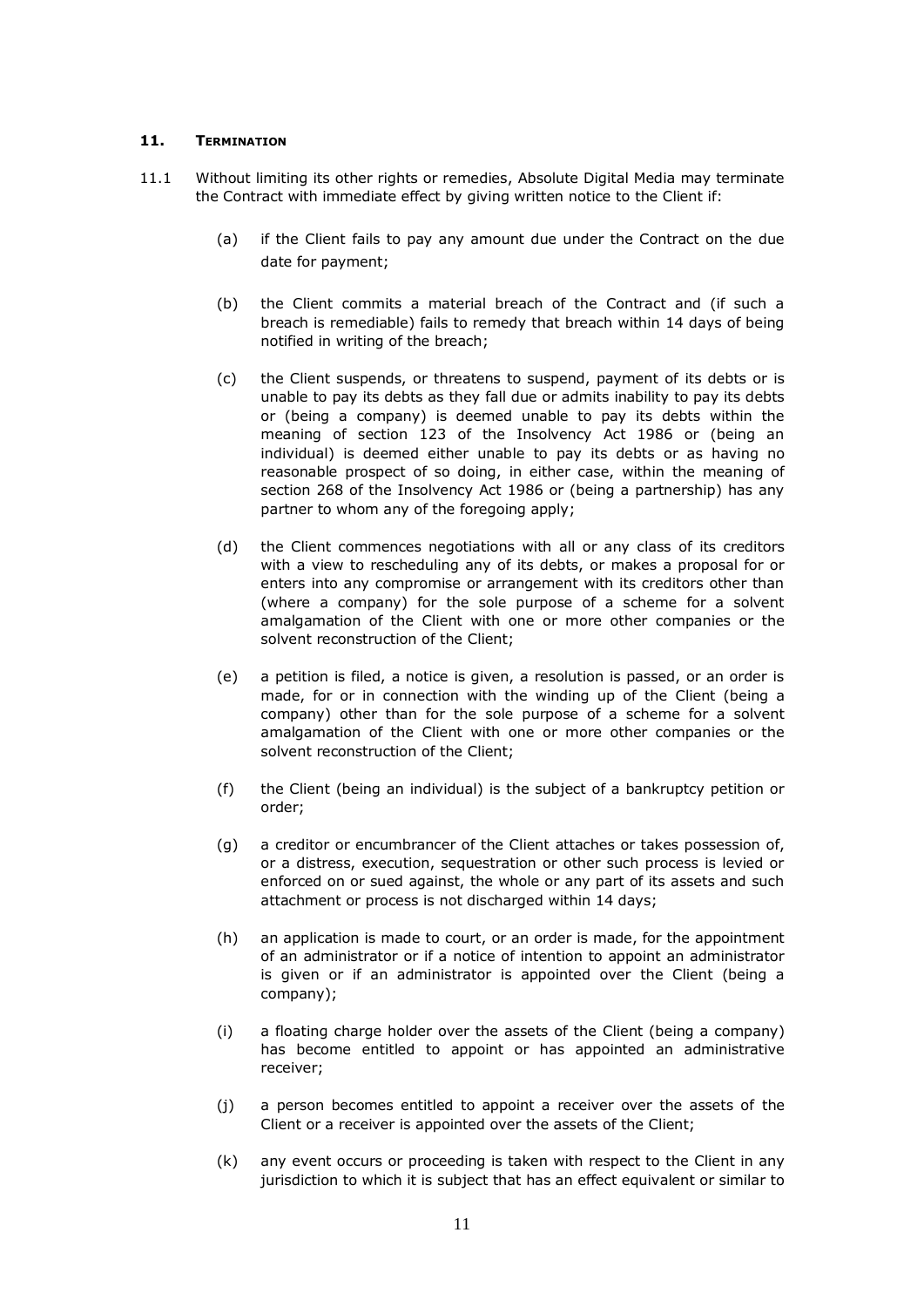### **11. TERMINATION**

- 11.1 Without limiting its other rights or remedies, Absolute Digital Media may terminate the Contract with immediate effect by giving written notice to the Client if:
	- (a) if the Client fails to pay any amount due under the Contract on the due date for payment;
	- (b) the Client commits a material breach of the Contract and (if such a breach is remediable) fails to remedy that breach within 14 days of being notified in writing of the breach;
	- (c) the Client suspends, or threatens to suspend, payment of its debts or is unable to pay its debts as they fall due or admits inability to pay its debts or (being a company) is deemed unable to pay its debts within the meaning of section 123 of the Insolvency Act 1986 or (being an individual) is deemed either unable to pay its debts or as having no reasonable prospect of so doing, in either case, within the meaning of section 268 of the Insolvency Act 1986 or (being a partnership) has any partner to whom any of the foregoing apply;
	- (d) the Client commences negotiations with all or any class of its creditors with a view to rescheduling any of its debts, or makes a proposal for or enters into any compromise or arrangement with its creditors other than (where a company) for the sole purpose of a scheme for a solvent amalgamation of the Client with one or more other companies or the solvent reconstruction of the Client;
	- (e) a petition is filed, a notice is given, a resolution is passed, or an order is made, for or in connection with the winding up of the Client (being a company) other than for the sole purpose of a scheme for a solvent amalgamation of the Client with one or more other companies or the solvent reconstruction of the Client;
	- (f) the Client (being an individual) is the subject of a bankruptcy petition or order;
	- (g) a creditor or encumbrancer of the Client attaches or takes possession of, or a distress, execution, sequestration or other such process is levied or enforced on or sued against, the whole or any part of its assets and such attachment or process is not discharged within 14 days;
	- (h) an application is made to court, or an order is made, for the appointment of an administrator or if a notice of intention to appoint an administrator is given or if an administrator is appointed over the Client (being a company);
	- (i) a floating charge holder over the assets of the Client (being a company) has become entitled to appoint or has appointed an administrative receiver;
	- (j) a person becomes entitled to appoint a receiver over the assets of the Client or a receiver is appointed over the assets of the Client;
	- (k) any event occurs or proceeding is taken with respect to the Client in any jurisdiction to which it is subject that has an effect equivalent or similar to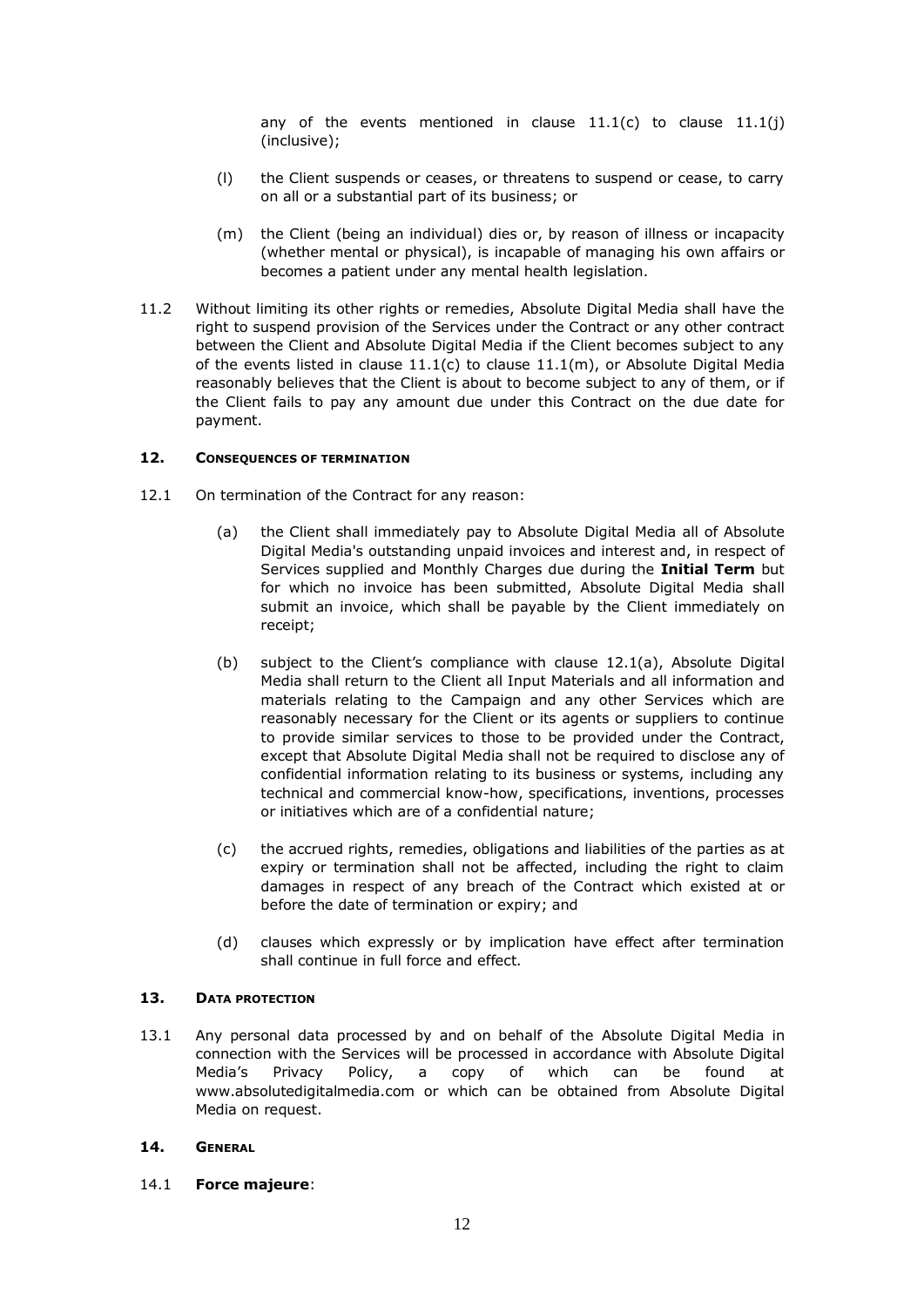any of the events mentioned in clause  $11.1(c)$  to clause  $11.1(j)$ (inclusive);

- (l) the Client suspends or ceases, or threatens to suspend or cease, to carry on all or a substantial part of its business; or
- (m) the Client (being an individual) dies or, by reason of illness or incapacity (whether mental or physical), is incapable of managing his own affairs or becomes a patient under any mental health legislation.
- 11.2 Without limiting its other rights or remedies, Absolute Digital Media shall have the right to suspend provision of the Services under the Contract or any other contract between the Client and Absolute Digital Media if the Client becomes subject to any of the events listed in clause  $11.1(c)$  to clause  $11.1(m)$ , or Absolute Digital Media reasonably believes that the Client is about to become subject to any of them, or if the Client fails to pay any amount due under this Contract on the due date for payment.

### **12. CONSEQUENCES OF TERMINATION**

- 12.1 On termination of the Contract for any reason:
	- (a) the Client shall immediately pay to Absolute Digital Media all of Absolute Digital Media's outstanding unpaid invoices and interest and, in respect of Services supplied and Monthly Charges due during the **Initial Term** but for which no invoice has been submitted, Absolute Digital Media shall submit an invoice, which shall be payable by the Client immediately on receipt;
	- (b) subject to the Client's compliance with clause 12.1(a), Absolute Digital Media shall return to the Client all Input Materials and all information and materials relating to the Campaign and any other Services which are reasonably necessary for the Client or its agents or suppliers to continue to provide similar services to those to be provided under the Contract, except that Absolute Digital Media shall not be required to disclose any of confidential information relating to its business or systems, including any technical and commercial know-how, specifications, inventions, processes or initiatives which are of a confidential nature;
	- (c) the accrued rights, remedies, obligations and liabilities of the parties as at expiry or termination shall not be affected, including the right to claim damages in respect of any breach of the Contract which existed at or before the date of termination or expiry; and
	- (d) clauses which expressly or by implication have effect after termination shall continue in full force and effect.

## **13. DATA PROTECTION**

13.1 Any personal data processed by and on behalf of the Absolute Digital Media in connection with the Services will be processed in accordance with Absolute Digital Media's Privacy Policy, a copy of which can be found at www.absolutedigitalmedia.com or which can be obtained from Absolute Digital Media on request.

### **14. GENERAL**

14.1 **Force majeure**: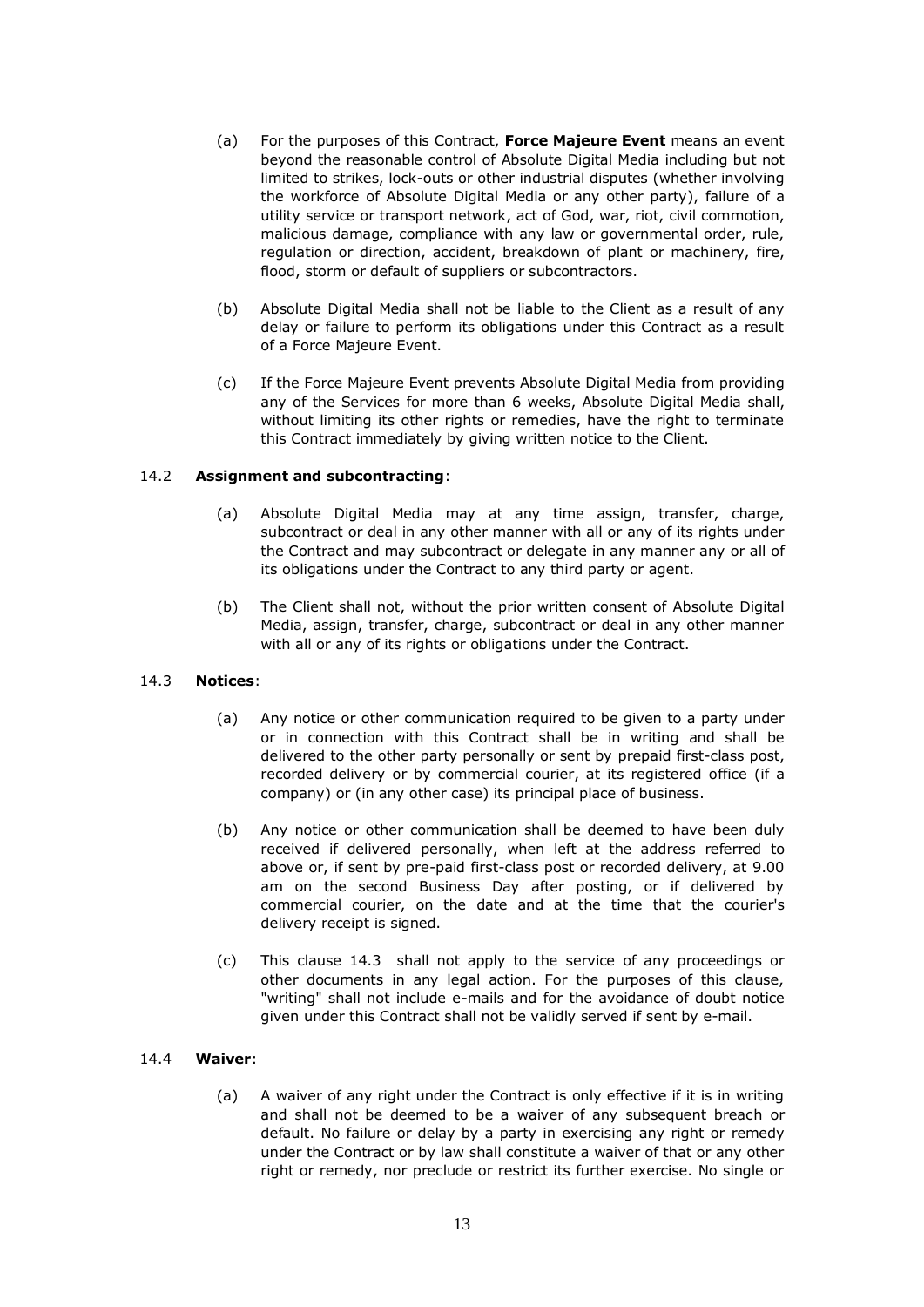- (a) For the purposes of this Contract, **Force Majeure Event** means an event beyond the reasonable control of Absolute Digital Media including but not limited to strikes, lock-outs or other industrial disputes (whether involving the workforce of Absolute Digital Media or any other party), failure of a utility service or transport network, act of God, war, riot, civil commotion, malicious damage, compliance with any law or governmental order, rule, regulation or direction, accident, breakdown of plant or machinery, fire, flood, storm or default of suppliers or subcontractors.
- (b) Absolute Digital Media shall not be liable to the Client as a result of any delay or failure to perform its obligations under this Contract as a result of a Force Majeure Event.
- (c) If the Force Majeure Event prevents Absolute Digital Media from providing any of the Services for more than 6 weeks, Absolute Digital Media shall, without limiting its other rights or remedies, have the right to terminate this Contract immediately by giving written notice to the Client.

## 14.2 **Assignment and subcontracting**:

- (a) Absolute Digital Media may at any time assign, transfer, charge, subcontract or deal in any other manner with all or any of its rights under the Contract and may subcontract or delegate in any manner any or all of its obligations under the Contract to any third party or agent.
- (b) The Client shall not, without the prior written consent of Absolute Digital Media, assign, transfer, charge, subcontract or deal in any other manner with all or any of its rights or obligations under the Contract.

### 14.3 **Notices**:

- (a) Any notice or other communication required to be given to a party under or in connection with this Contract shall be in writing and shall be delivered to the other party personally or sent by prepaid first-class post, recorded delivery or by commercial courier, at its registered office (if a company) or (in any other case) its principal place of business.
- (b) Any notice or other communication shall be deemed to have been duly received if delivered personally, when left at the address referred to above or, if sent by pre-paid first-class post or recorded delivery, at 9.00 am on the second Business Day after posting, or if delivered by commercial courier, on the date and at the time that the courier's delivery receipt is signed.
- (c) This clause 14.3 shall not apply to the service of any proceedings or other documents in any legal action. For the purposes of this clause, "writing" shall not include e-mails and for the avoidance of doubt notice given under this Contract shall not be validly served if sent by e-mail.

### 14.4 **Waiver**:

(a) A waiver of any right under the Contract is only effective if it is in writing and shall not be deemed to be a waiver of any subsequent breach or default. No failure or delay by a party in exercising any right or remedy under the Contract or by law shall constitute a waiver of that or any other right or remedy, nor preclude or restrict its further exercise. No single or